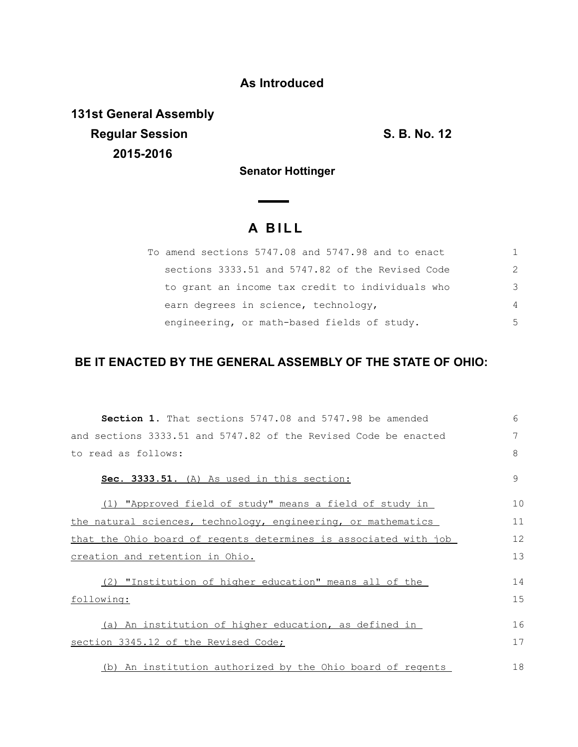### **As Introduced**

**131st General Assembly Regular Session S. B. No. 12 2015-2016**

**Senator Hottinger** 

# **A B I L L**

| To amend sections 5747.08 and 5747.98 and to enact |               |
|----------------------------------------------------|---------------|
| sections 3333.51 and 5747.82 of the Revised Code   | $\mathcal{P}$ |
| to grant an income tax credit to individuals who   | 3             |
| earn degrees in science, technology,               | 4             |
| engineering, or math-based fields of study.        | 5             |

## **BE IT ENACTED BY THE GENERAL ASSEMBLY OF THE STATE OF OHIO:**

| <b>Section 1.</b> That sections 5747.08 and 5747.98 be amended   | 6  |
|------------------------------------------------------------------|----|
| and sections 3333.51 and 5747.82 of the Revised Code be enacted  | 7  |
| to read as follows:                                              | 8  |
| Sec. 3333.51. (A) As used in this section:                       | 9  |
| (1) "Approved field of study" means a field of study in          | 10 |
| the natural sciences, technology, engineering, or mathematics    | 11 |
| that the Ohio board of regents determines is associated with job | 12 |
| creation and retention in Ohio.                                  | 13 |
| (2) "Institution of higher education" means all of the           | 14 |
| following:                                                       | 15 |
| (a) An institution of higher education, as defined in            | 16 |
| section 3345.12 of the Revised Code;                             | 17 |
| (b) An institution authorized by the Ohio board of regents       | 18 |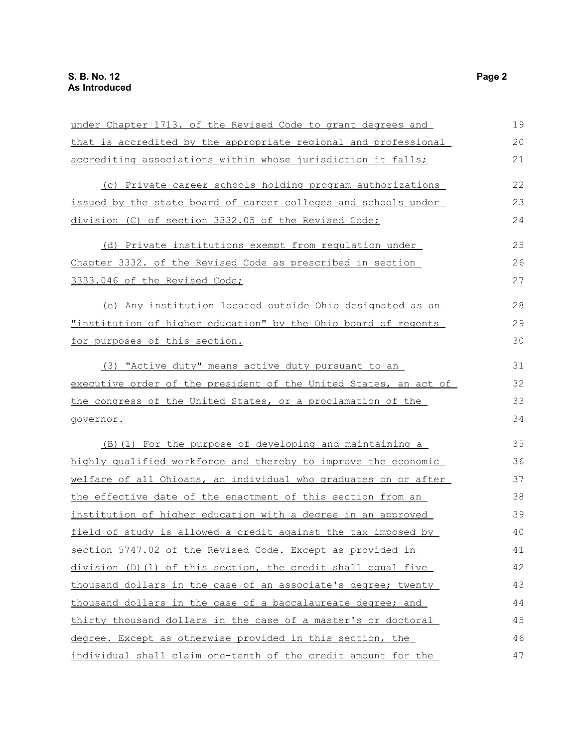| under Chapter 1713. of the Revised Code to grant degrees and     | 19 |
|------------------------------------------------------------------|----|
| that is accredited by the appropriate regional and professional  | 20 |
| accrediting associations within whose jurisdiction it falls;     | 21 |
| (c) Private career schools holding program authorizations        | 22 |
| issued by the state board of career colleges and schools under   | 23 |
| division (C) of section 3332.05 of the Revised Code;             | 24 |
| (d) Private institutions exempt from requlation under            | 25 |
| Chapter 3332. of the Revised Code as prescribed in section       | 26 |
| 3333.046 of the Revised Code;                                    | 27 |
| (e) Any institution located outside Ohio designated as an        | 28 |
| "institution of higher education" by the Ohio board of regents   | 29 |
| for purposes of this section.                                    | 30 |
| (3) "Active duty" means active duty pursuant to an               | 31 |
| executive order of the president of the United States, an act of | 32 |
| the congress of the United States, or a proclamation of the      | 33 |
| governor.                                                        | 34 |
| (B) (1) For the purpose of developing and maintaining a          | 35 |
| highly qualified workforce and thereby to improve the economic   | 36 |
| welfare of all Ohioans, an individual who graduates on or after  | 37 |
| the effective date of the enactment of this section from an      | 38 |
| institution of higher education with a degree in an approved     | 39 |
| field of study is allowed a credit against the tax imposed by    | 40 |
| section 5747.02 of the Revised Code. Except as provided in       | 41 |
| division (D) (1) of this section, the credit shall equal five    | 42 |
| thousand dollars in the case of an associate's degree; twenty    | 43 |
| thousand dollars in the case of a baccalaureate degree; and      | 44 |
| thirty thousand dollars in the case of a master's or doctoral    | 45 |
| degree. Except as otherwise provided in this section, the        | 46 |
| individual shall claim one-tenth of the credit amount for the    | 47 |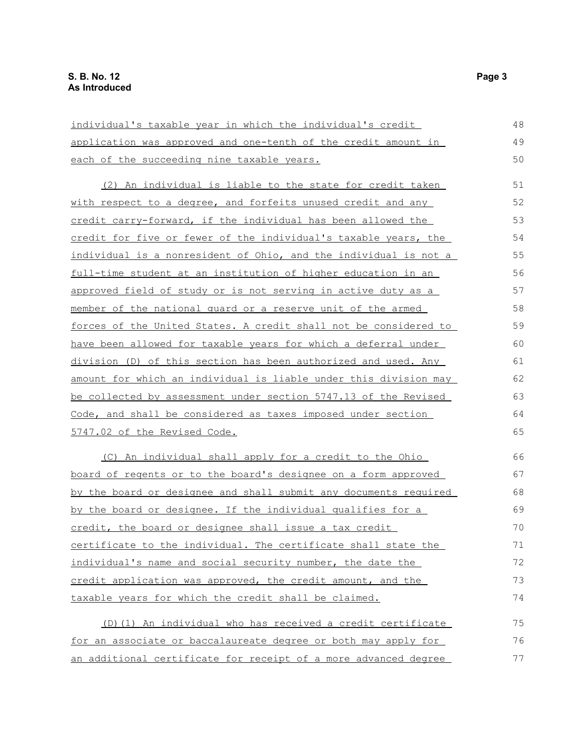| individual's taxable year in which the individual's credit            | 48 |
|-----------------------------------------------------------------------|----|
| application was approved and one-tenth of the credit amount in        | 49 |
| each of the succeeding nine taxable years.                            | 50 |
| (2) An individual is liable to the state for credit taken             | 51 |
| with respect to a degree, and forfeits unused credit and any          | 52 |
| credit carry-forward, if the individual has been allowed the          | 53 |
| credit for five or fewer of the individual's taxable years, the       | 54 |
| individual is a nonresident of Ohio, and the individual is not a      | 55 |
| full-time student at an institution of higher education in an         | 56 |
| approved field of study or is not serving in active duty as a         | 57 |
| member of the national quard or a reserve unit of the armed           | 58 |
| forces of the United States. A credit shall not be considered to      | 59 |
| have been allowed for taxable years for which a deferral under        | 60 |
| division (D) of this section has been authorized and used. Any        | 61 |
| amount for which an individual is liable under this division may      | 62 |
| be collected by assessment under section 5747.13 of the Revised       | 63 |
| Code, and shall be considered as taxes imposed under section          | 64 |
| 5747.02 of the Revised Code.                                          | 65 |
| (C) An individual shall apply for a credit to the Ohio                | 66 |
| <u>board of regents or to the board's designee on a form approved</u> | 67 |
| by the board or designee and shall submit any documents required      | 68 |
| by the board or designee. If the individual qualifies for a           | 69 |
| credit, the board or designee shall issue a tax credit                | 70 |
| certificate to the individual. The certificate shall state the        | 71 |
| individual's name and social security number, the date the            | 72 |
| credit application was approved, the credit amount, and the           | 73 |
| taxable years for which the credit shall be claimed.                  | 74 |
| (D) (1) An individual who has received a credit certificate           | 75 |
| for an associate or baccalaureate degree or both may apply for        | 76 |
| an additional certificate for receipt of a more advanced degree       | 77 |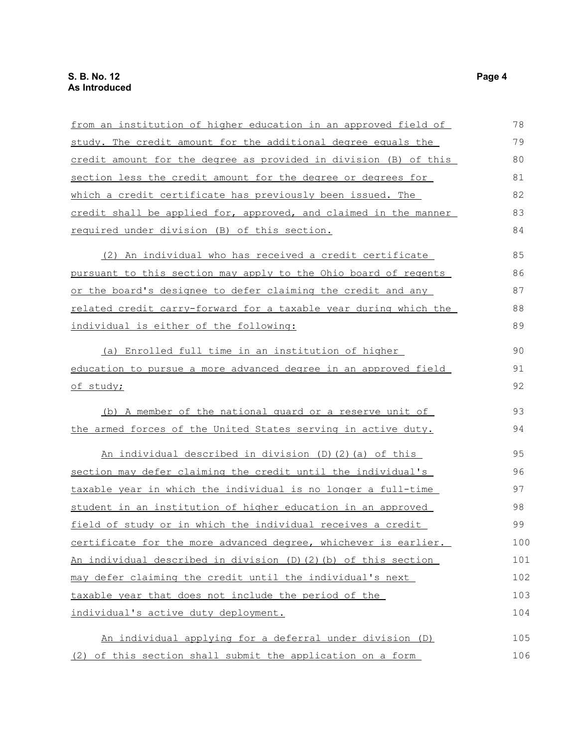| from an institution of higher education in an approved field of       | 78  |
|-----------------------------------------------------------------------|-----|
| study. The credit amount for the additional degree equals the         | 79  |
| credit amount for the degree as provided in division (B) of this      | 80  |
| section less the credit amount for the degree or degrees for          | 81  |
| which a credit certificate has previously been issued. The            | 82  |
| credit shall be applied for, approved, and claimed in the manner      | 83  |
| required under division (B) of this section.                          | 84  |
| (2) An individual who has received a credit certificate               | 85  |
| pursuant to this section may apply to the Ohio board of regents       | 86  |
| or the board's designee to defer claiming the credit and any          | 87  |
| related credit carry-forward for a taxable year during which the      | 88  |
| individual is either of the following:                                | 89  |
| (a) Enrolled full time in an institution of higher                    | 90  |
| education to pursue a more advanced degree in an approved field       | 91  |
| of study;                                                             | 92  |
| (b) A member of the national guard or a reserve unit of               | 93  |
| the armed forces of the United States serving in active duty.         | 94  |
| An individual described in division (D)(2)(a) of this                 | 95  |
| section may defer claiming the credit until the individual's          | 96  |
| taxable year in which the individual is no longer a full-time         | 97  |
| student in an institution of higher education in an approved          | 98  |
| field of study or in which the individual receives a credit           | 99  |
| certificate for the more advanced degree, whichever is earlier.       | 100 |
| An individual described in division $(D)$ $(2)$ $(b)$ of this section | 101 |
| may defer claiming the credit until the individual's next             | 102 |
| taxable year that does not include the period of the                  | 103 |
| individual's active duty deployment.                                  | 104 |
| An individual applying for a deferral under division (D)              | 105 |
| (2) of this section shall submit the application on a form            | 106 |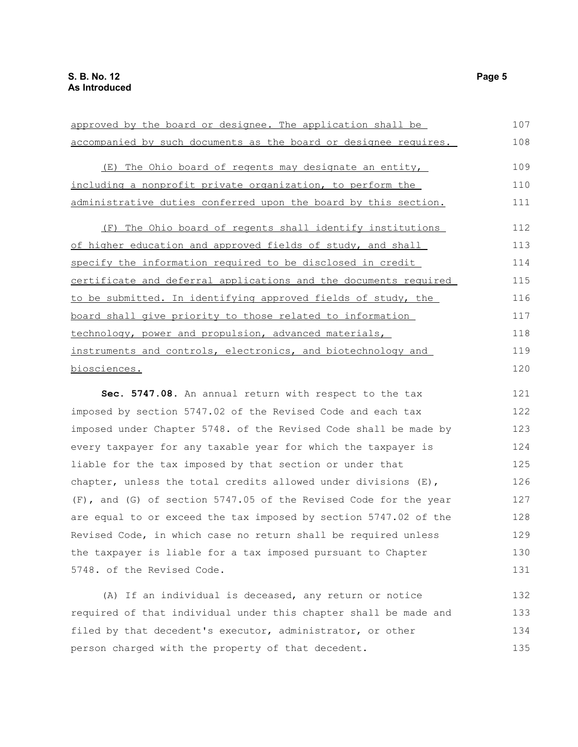| approved by the board or designee. The application shall be      | 107 |
|------------------------------------------------------------------|-----|
| accompanied by such documents as the board or designee requires. | 108 |
| (E) The Ohio board of regents may designate an entity,           | 109 |
| including a nonprofit private organization, to perform the       | 110 |
| administrative duties conferred upon the board by this section.  | 111 |
| (F) The Ohio board of regents shall identify institutions        | 112 |
| of higher education and approved fields of study, and shall      | 113 |
| specify the information required to be disclosed in credit       | 114 |
| certificate and deferral applications and the documents required | 115 |
| to be submitted. In identifying approved fields of study, the    | 116 |
| board shall give priority to those related to information        | 117 |
| technology, power and propulsion, advanced materials,            | 118 |
| instruments and controls, electronics, and biotechnology and     | 119 |
| biosciences.                                                     | 120 |
| Sec. 5747.08. An annual return with respect to the tax           | 121 |
| imposed by section 5747.02 of the Revised Code and each tax      | 122 |
| imposed under Chapter 5748. of the Revised Code shall be made by | 123 |
| every taxpayer for any taxable year for which the taxpayer is    | 124 |
| liable for the tax imposed by that section or under that         | 125 |
| chapter, unless the total credits allowed under divisions (E),   | 126 |
| (F), and (G) of section 5747.05 of the Revised Code for the year | 127 |
| are equal to or exceed the tax imposed by section 5747.02 of the | 128 |

5748. of the Revised Code.

(A) If an individual is deceased, any return or notice required of that individual under this chapter shall be made and filed by that decedent's executor, administrator, or other person charged with the property of that decedent. 132 133 134 135

Revised Code, in which case no return shall be required unless the taxpayer is liable for a tax imposed pursuant to Chapter

129 130 131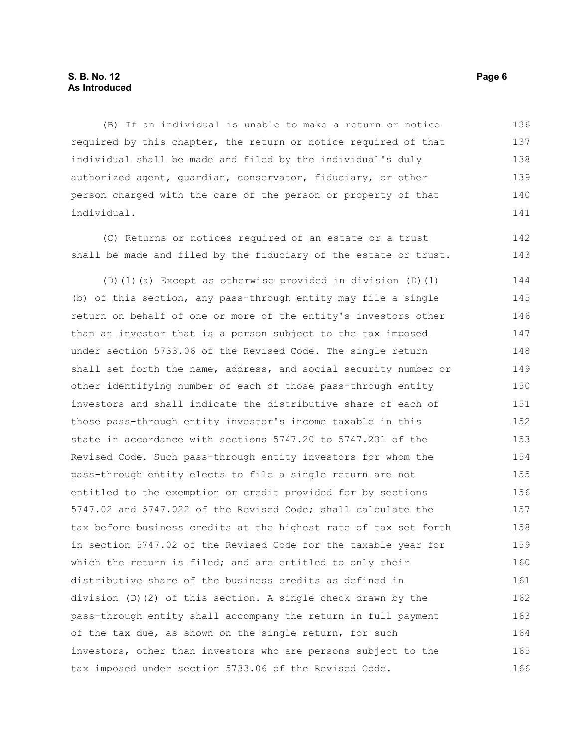#### **S. B. No. 12 Page 6 As Introduced**

(B) If an individual is unable to make a return or notice required by this chapter, the return or notice required of that individual shall be made and filed by the individual's duly authorized agent, guardian, conservator, fiduciary, or other person charged with the care of the person or property of that individual. 136 137 138 139 140 141

(C) Returns or notices required of an estate or a trust shall be made and filed by the fiduciary of the estate or trust. 142 143

(D)(1)(a) Except as otherwise provided in division (D)(1) (b) of this section, any pass-through entity may file a single return on behalf of one or more of the entity's investors other than an investor that is a person subject to the tax imposed under section 5733.06 of the Revised Code. The single return shall set forth the name, address, and social security number or other identifying number of each of those pass-through entity investors and shall indicate the distributive share of each of those pass-through entity investor's income taxable in this state in accordance with sections 5747.20 to 5747.231 of the Revised Code. Such pass-through entity investors for whom the pass-through entity elects to file a single return are not entitled to the exemption or credit provided for by sections 5747.02 and 5747.022 of the Revised Code; shall calculate the tax before business credits at the highest rate of tax set forth in section 5747.02 of the Revised Code for the taxable year for which the return is filed; and are entitled to only their distributive share of the business credits as defined in division (D)(2) of this section. A single check drawn by the pass-through entity shall accompany the return in full payment of the tax due, as shown on the single return, for such investors, other than investors who are persons subject to the tax imposed under section 5733.06 of the Revised Code. 144 145 146 147 148 149 150 151 152 153 154 155 156 157 158 159 160 161 162 163 164 165 166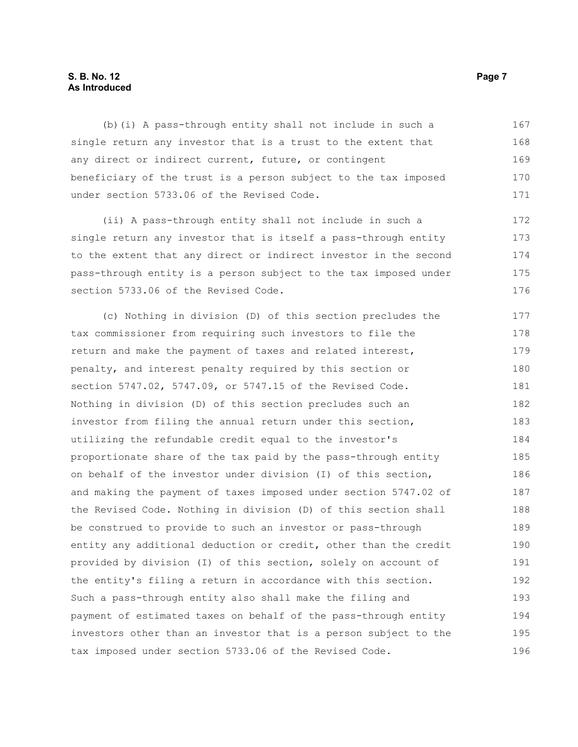#### **S. B. No. 12 Page 7 As Introduced**

(b)(i) A pass-through entity shall not include in such a single return any investor that is a trust to the extent that any direct or indirect current, future, or contingent beneficiary of the trust is a person subject to the tax imposed under section 5733.06 of the Revised Code. 167 168 169 170 171

(ii) A pass-through entity shall not include in such a single return any investor that is itself a pass-through entity to the extent that any direct or indirect investor in the second pass-through entity is a person subject to the tax imposed under section 5733.06 of the Revised Code. 172 173 174 175 176

(c) Nothing in division (D) of this section precludes the tax commissioner from requiring such investors to file the return and make the payment of taxes and related interest, penalty, and interest penalty required by this section or section 5747.02, 5747.09, or 5747.15 of the Revised Code. Nothing in division (D) of this section precludes such an investor from filing the annual return under this section, utilizing the refundable credit equal to the investor's proportionate share of the tax paid by the pass-through entity on behalf of the investor under division (I) of this section, and making the payment of taxes imposed under section 5747.02 of the Revised Code. Nothing in division (D) of this section shall be construed to provide to such an investor or pass-through entity any additional deduction or credit, other than the credit provided by division (I) of this section, solely on account of the entity's filing a return in accordance with this section. Such a pass-through entity also shall make the filing and payment of estimated taxes on behalf of the pass-through entity investors other than an investor that is a person subject to the tax imposed under section 5733.06 of the Revised Code. 177 178 179 180 181 182 183 184 185 186 187 188 189 190 191 192 193 194 195 196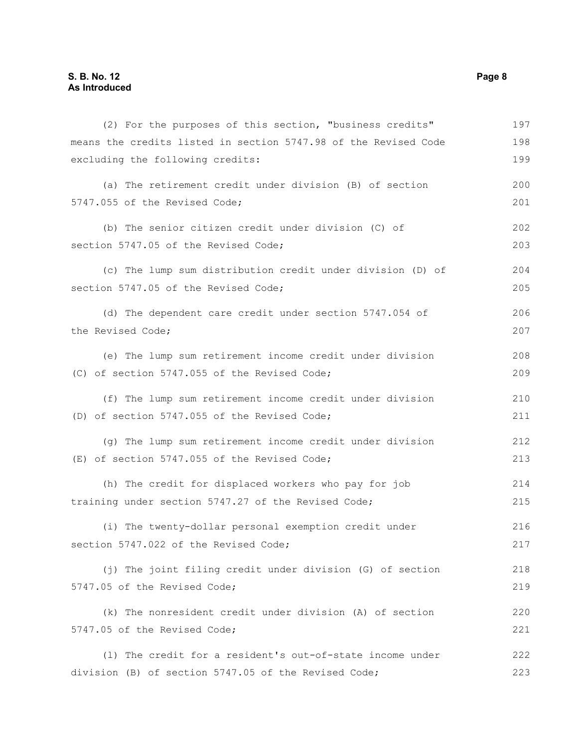| (2) For the purposes of this section, "business credits"        | 197 |
|-----------------------------------------------------------------|-----|
| means the credits listed in section 5747.98 of the Revised Code | 198 |
| excluding the following credits:                                | 199 |
| (a) The retirement credit under division (B) of section         | 200 |
| 5747.055 of the Revised Code;                                   | 201 |
| (b) The senior citizen credit under division (C) of             | 202 |
| section 5747.05 of the Revised Code;                            | 203 |
| (c) The lump sum distribution credit under division (D) of      | 204 |
| section 5747.05 of the Revised Code;                            | 205 |
| (d) The dependent care credit under section 5747.054 of         | 206 |
| the Revised Code;                                               | 207 |
| (e) The lump sum retirement income credit under division        | 208 |
| (C) of section 5747.055 of the Revised Code;                    | 209 |
| (f) The lump sum retirement income credit under division        | 210 |
| (D) of section 5747.055 of the Revised Code;                    | 211 |
| (g) The lump sum retirement income credit under division        | 212 |
| (E) of section 5747.055 of the Revised Code;                    | 213 |
| (h) The credit for displaced workers who pay for job            | 214 |
| training under section 5747.27 of the Revised Code;             | 215 |
| (i) The twenty-dollar personal exemption credit under           | 216 |
| section 5747.022 of the Revised Code;                           | 217 |
| (j) The joint filing credit under division (G) of section       | 218 |
| 5747.05 of the Revised Code;                                    | 219 |
| (k) The nonresident credit under division (A) of section        | 220 |
| 5747.05 of the Revised Code;                                    | 221 |
| (1) The credit for a resident's out-of-state income under       | 222 |
| division (B) of section 5747.05 of the Revised Code;            | 223 |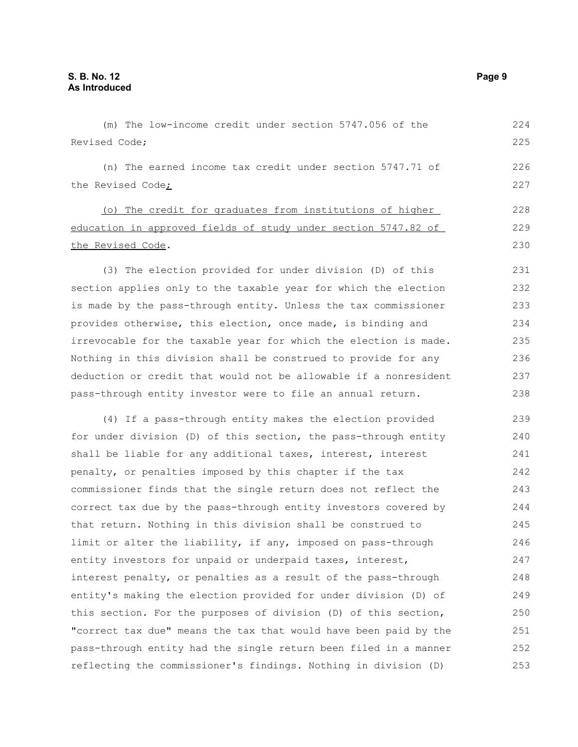(m) The low-income credit under section 5747.056 of the Revised Code; (n) The earned income tax credit under section 5747.71 of the Revised Code; (o) The credit for graduates from institutions of higher education in approved fields of study under section 5747.82 of the Revised Code. (3) The election provided for under division (D) of this section applies only to the taxable year for which the election is made by the pass-through entity. Unless the tax commissioner provides otherwise, this election, once made, is binding and irrevocable for the taxable year for which the election is made. Nothing in this division shall be construed to provide for any deduction or credit that would not be allowable if a nonresident pass-through entity investor were to file an annual return. (4) If a pass-through entity makes the election provided for under division (D) of this section, the pass-through entity shall be liable for any additional taxes, interest, interest penalty, or penalties imposed by this chapter if the tax 224 225 226 227 228 229 230 231 232 233 234 235 236 237 238 239 240 241 242

commissioner finds that the single return does not reflect the correct tax due by the pass-through entity investors covered by that return. Nothing in this division shall be construed to limit or alter the liability, if any, imposed on pass-through entity investors for unpaid or underpaid taxes, interest, interest penalty, or penalties as a result of the pass-through entity's making the election provided for under division (D) of this section. For the purposes of division (D) of this section, "correct tax due" means the tax that would have been paid by the pass-through entity had the single return been filed in a manner reflecting the commissioner's findings. Nothing in division (D) 243 244 245 246 247 248 249 250 251 252 253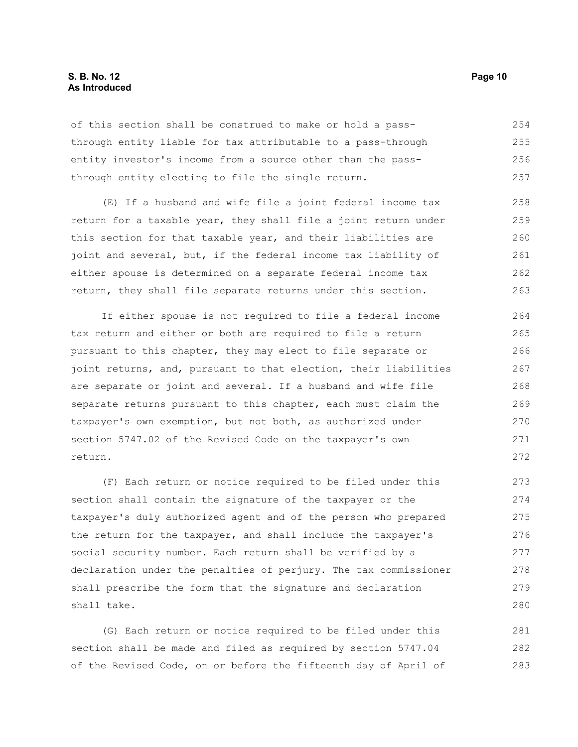#### **S. B. No. 12 Page 10 As Introduced**

of this section shall be construed to make or hold a passthrough entity liable for tax attributable to a pass-through entity investor's income from a source other than the passthrough entity electing to file the single return. 254 255 256 257

(E) If a husband and wife file a joint federal income tax return for a taxable year, they shall file a joint return under this section for that taxable year, and their liabilities are joint and several, but, if the federal income tax liability of either spouse is determined on a separate federal income tax return, they shall file separate returns under this section. 258 259 260 261 262 263

If either spouse is not required to file a federal income tax return and either or both are required to file a return pursuant to this chapter, they may elect to file separate or joint returns, and, pursuant to that election, their liabilities are separate or joint and several. If a husband and wife file separate returns pursuant to this chapter, each must claim the taxpayer's own exemption, but not both, as authorized under section 5747.02 of the Revised Code on the taxpayer's own return. 264 265 266 267 268 269 270 271 272

(F) Each return or notice required to be filed under this section shall contain the signature of the taxpayer or the taxpayer's duly authorized agent and of the person who prepared the return for the taxpayer, and shall include the taxpayer's social security number. Each return shall be verified by a declaration under the penalties of perjury. The tax commissioner shall prescribe the form that the signature and declaration shall take. 273 274 275 276 277 278 279 280

(G) Each return or notice required to be filed under this section shall be made and filed as required by section 5747.04 of the Revised Code, on or before the fifteenth day of April of 281 282 283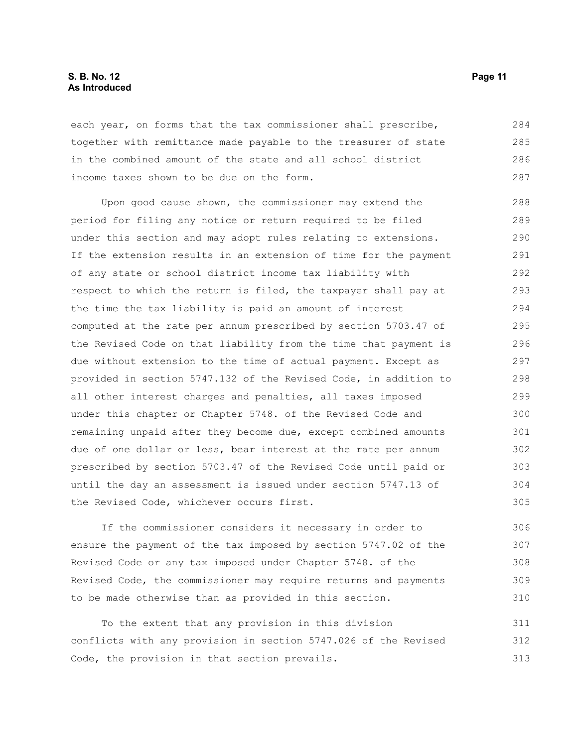#### **S. B. No. 12 Page 11 As Introduced**

each year, on forms that the tax commissioner shall prescribe, together with remittance made payable to the treasurer of state in the combined amount of the state and all school district income taxes shown to be due on the form. 284 285 286 287

Upon good cause shown, the commissioner may extend the period for filing any notice or return required to be filed under this section and may adopt rules relating to extensions. If the extension results in an extension of time for the payment of any state or school district income tax liability with respect to which the return is filed, the taxpayer shall pay at the time the tax liability is paid an amount of interest computed at the rate per annum prescribed by section 5703.47 of the Revised Code on that liability from the time that payment is due without extension to the time of actual payment. Except as provided in section 5747.132 of the Revised Code, in addition to all other interest charges and penalties, all taxes imposed under this chapter or Chapter 5748. of the Revised Code and remaining unpaid after they become due, except combined amounts due of one dollar or less, bear interest at the rate per annum prescribed by section 5703.47 of the Revised Code until paid or until the day an assessment is issued under section 5747.13 of the Revised Code, whichever occurs first. 288 289 290 291 292 293 294 295 296 297 298 299 300 301 302 303 304 305

If the commissioner considers it necessary in order to ensure the payment of the tax imposed by section 5747.02 of the Revised Code or any tax imposed under Chapter 5748. of the Revised Code, the commissioner may require returns and payments to be made otherwise than as provided in this section.

To the extent that any provision in this division conflicts with any provision in section 5747.026 of the Revised Code, the provision in that section prevails. 311 312 313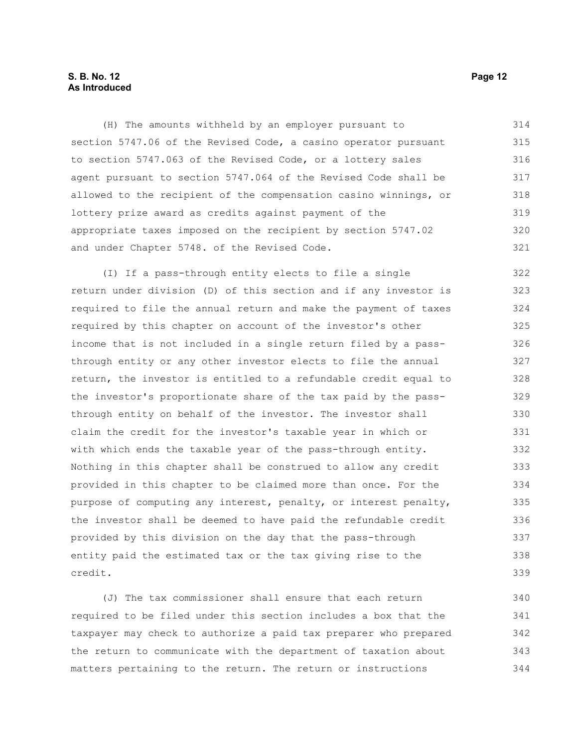#### **S. B. No. 12 Page 12 As Introduced**

(H) The amounts withheld by an employer pursuant to section 5747.06 of the Revised Code, a casino operator pursuant to section 5747.063 of the Revised Code, or a lottery sales agent pursuant to section 5747.064 of the Revised Code shall be allowed to the recipient of the compensation casino winnings, or lottery prize award as credits against payment of the appropriate taxes imposed on the recipient by section 5747.02 and under Chapter 5748. of the Revised Code. 314 315 316 317 318 319 320 321

(I) If a pass-through entity elects to file a single return under division (D) of this section and if any investor is required to file the annual return and make the payment of taxes required by this chapter on account of the investor's other income that is not included in a single return filed by a passthrough entity or any other investor elects to file the annual return, the investor is entitled to a refundable credit equal to the investor's proportionate share of the tax paid by the passthrough entity on behalf of the investor. The investor shall claim the credit for the investor's taxable year in which or with which ends the taxable year of the pass-through entity. Nothing in this chapter shall be construed to allow any credit provided in this chapter to be claimed more than once. For the purpose of computing any interest, penalty, or interest penalty, the investor shall be deemed to have paid the refundable credit provided by this division on the day that the pass-through entity paid the estimated tax or the tax giving rise to the credit. 322 323 324 325 326 327 328 329 330 331 332 333 334 335 336 337 338 339

(J) The tax commissioner shall ensure that each return required to be filed under this section includes a box that the taxpayer may check to authorize a paid tax preparer who prepared the return to communicate with the department of taxation about matters pertaining to the return. The return or instructions 340 341 342 343 344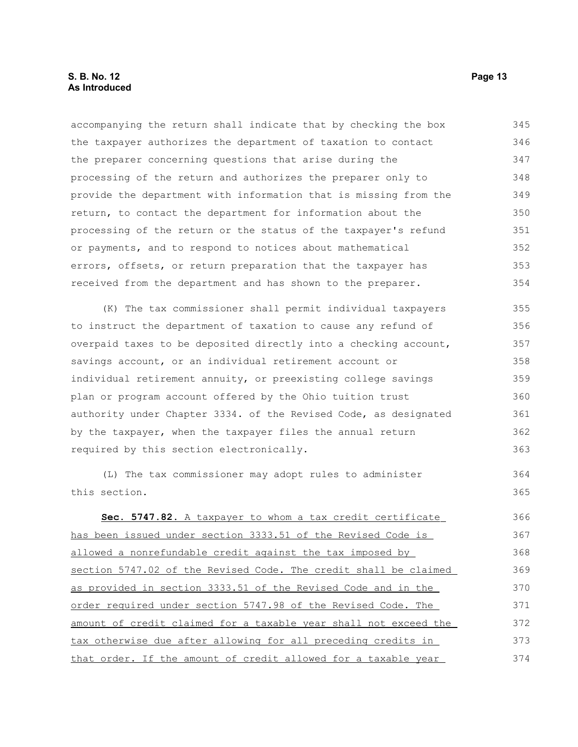accompanying the return shall indicate that by checking the box the taxpayer authorizes the department of taxation to contact the preparer concerning questions that arise during the processing of the return and authorizes the preparer only to provide the department with information that is missing from the return, to contact the department for information about the processing of the return or the status of the taxpayer's refund or payments, and to respond to notices about mathematical errors, offsets, or return preparation that the taxpayer has received from the department and has shown to the preparer. 345 346 347 348 349 350 351 352 353 354

(K) The tax commissioner shall permit individual taxpayers to instruct the department of taxation to cause any refund of overpaid taxes to be deposited directly into a checking account, savings account, or an individual retirement account or individual retirement annuity, or preexisting college savings plan or program account offered by the Ohio tuition trust authority under Chapter 3334. of the Revised Code, as designated by the taxpayer, when the taxpayer files the annual return required by this section electronically. 355 356 357 358 359 360 361 362 363

(L) The tax commissioner may adopt rules to administer this section. 364 365

 **Sec. 5747.82.** A taxpayer to whom a tax credit certificate has been issued under section 3333.51 of the Revised Code is allowed a nonrefundable credit against the tax imposed by section 5747.02 of the Revised Code. The credit shall be claimed as provided in section 3333.51 of the Revised Code and in the order required under section 5747.98 of the Revised Code. The amount of credit claimed for a taxable year shall not exceed the tax otherwise due after allowing for all preceding credits in that order. If the amount of credit allowed for a taxable year 366 367 368 369 370 371 372 373 374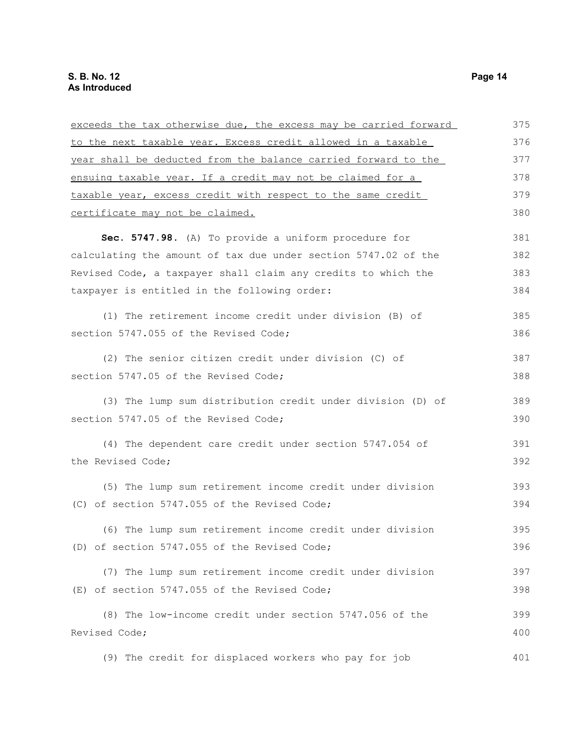| exceeds the tax otherwise due, the excess may be carried forward | 375 |
|------------------------------------------------------------------|-----|
| to the next taxable year. Excess credit allowed in a taxable     | 376 |
| year shall be deducted from the balance carried forward to the   | 377 |
| ensuing taxable year. If a credit may not be claimed for a       | 378 |
| taxable year, excess credit with respect to the same credit      | 379 |
| certificate may not be claimed.                                  | 380 |
| Sec. 5747.98. (A) To provide a uniform procedure for             | 381 |
| calculating the amount of tax due under section 5747.02 of the   | 382 |
| Revised Code, a taxpayer shall claim any credits to which the    | 383 |
| taxpayer is entitled in the following order:                     | 384 |
| (1) The retirement income credit under division (B) of           | 385 |
| section 5747.055 of the Revised Code;                            | 386 |
| (2) The senior citizen credit under division (C) of              | 387 |
| section 5747.05 of the Revised Code;                             | 388 |
| (3) The lump sum distribution credit under division (D) of       | 389 |
| section 5747.05 of the Revised Code;                             | 390 |
| (4) The dependent care credit under section 5747.054 of          | 391 |
| the Revised Code;                                                | 392 |
| (5) The lump sum retirement income credit under division         | 393 |
| (C) of section 5747.055 of the Revised Code;                     | 394 |
| (6) The lump sum retirement income credit under division         | 395 |
| (D) of section 5747.055 of the Revised Code;                     | 396 |
| (7) The lump sum retirement income credit under division         | 397 |
| (E) of section 5747.055 of the Revised Code;                     | 398 |
| (8) The low-income credit under section 5747.056 of the          | 399 |
| Revised Code;                                                    | 400 |
| (9) The credit for displaced workers who pay for job             | 401 |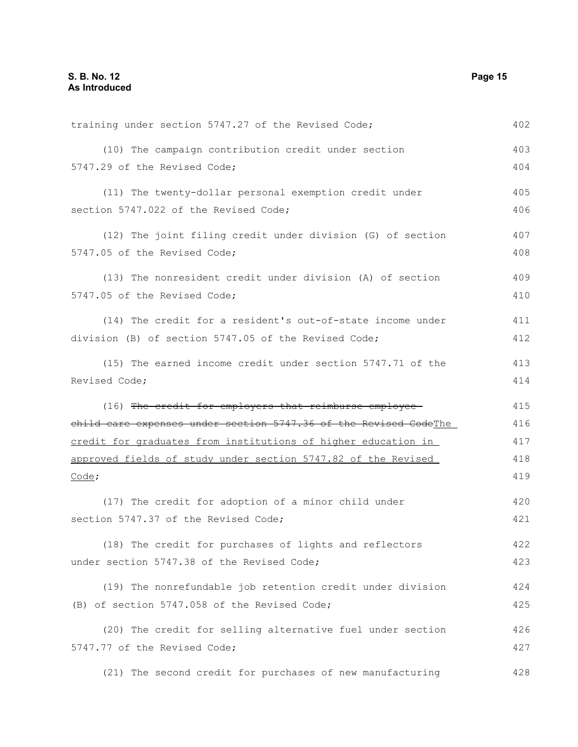| training under section 5747.27 of the Revised Code;              | 402 |
|------------------------------------------------------------------|-----|
| (10) The campaign contribution credit under section              | 403 |
| 5747.29 of the Revised Code;                                     | 404 |
| (11) The twenty-dollar personal exemption credit under           | 405 |
| section 5747.022 of the Revised Code;                            | 406 |
| (12) The joint filing credit under division (G) of section       | 407 |
| 5747.05 of the Revised Code;                                     | 408 |
| (13) The nonresident credit under division (A) of section        | 409 |
| 5747.05 of the Revised Code;                                     | 410 |
| (14) The credit for a resident's out-of-state income under       | 411 |
| division (B) of section 5747.05 of the Revised Code;             | 412 |
| (15) The earned income credit under section 5747.71 of the       | 413 |
| Revised Code;                                                    | 414 |
| (16) The credit for employers that reimburse employee            | 415 |
| child care expenses under section 5747.36 of the Revised CodeThe | 416 |
| credit for graduates from institutions of higher education in    | 417 |
| approved fields of study under section 5747.82 of the Revised    |     |
| $\frac{\text{Code}}{\text{?}}$                                   | 419 |
| (17) The credit for adoption of a minor child under              | 420 |
| section 5747.37 of the Revised Code;                             | 421 |
| (18) The credit for purchases of lights and reflectors           | 422 |
| under section 5747.38 of the Revised Code;                       | 423 |
| (19) The nonrefundable job retention credit under division       | 424 |
| (B) of section 5747.058 of the Revised Code;                     | 425 |
| (20) The credit for selling alternative fuel under section       | 426 |
| 5747.77 of the Revised Code;                                     | 427 |
| (21) The second credit for purchases of new manufacturing        | 428 |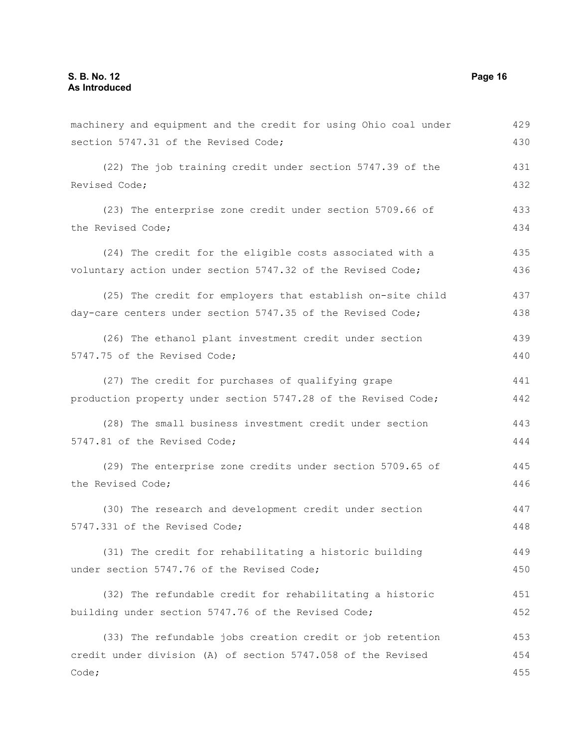machinery and equipment and the credit for using Ohio coal under section 5747.31 of the Revised Code; (22) The job training credit under section 5747.39 of the Revised Code; (23) The enterprise zone credit under section 5709.66 of the Revised Code; (24) The credit for the eligible costs associated with a voluntary action under section 5747.32 of the Revised Code; (25) The credit for employers that establish on-site child day-care centers under section 5747.35 of the Revised Code; (26) The ethanol plant investment credit under section 5747.75 of the Revised Code; (27) The credit for purchases of qualifying grape production property under section 5747.28 of the Revised Code; (28) The small business investment credit under section 5747.81 of the Revised Code; (29) The enterprise zone credits under section 5709.65 of the Revised Code; (30) The research and development credit under section 5747.331 of the Revised Code; (31) The credit for rehabilitating a historic building under section 5747.76 of the Revised Code; (32) The refundable credit for rehabilitating a historic building under section 5747.76 of the Revised Code; (33) The refundable jobs creation credit or job retention credit under division (A) of section 5747.058 of the Revised Code; 429 430 431 432 433 434 435 436 437 438 439 440 441 442 443 444 445 446 447 448 449 450 451 452 453 454 455